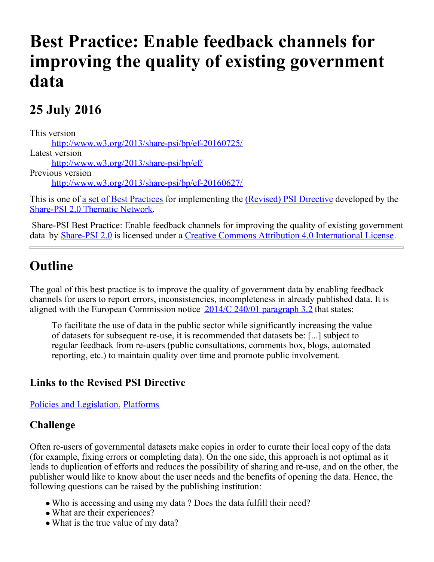# **Best Practice: Enable feedback channels for improving the quality of existing government data**

## **25 July 2016**

This version [http://www.w3.org/2013/share-psi/bp/ef-20160725/](https://www.w3.org/2013/share-psi/bp/ef-20160725/) Latest version [http://www.w3.org/2013/share-psi/bp/ef/](https://www.w3.org/2013/share-psi/bp/ef/) Previous version [http://www.w3.org/2013/share-psi/bp/ef-20160627/](https://www.w3.org/2013/share-psi/bp/ef-20160627/)

This is one of [a set of Best Practices](https://www.w3.org/2013/share-psi/bp/#bps) for implementing the *(Revised)* PSI Directive developed by the [Share-PSI 2.0 Thematic Network](http://www.w3.org/2013/share-psi/).

Share-PSI Best Practice: Enable feedback channels for improving the quality of existing government data by [Share-PSI 2.0](http://www.w3.org/2013/share-psi/) is licensed under a [Creative Commons Attribution 4.0 International License](http://creativecommons.org/licenses/by/4.0/).

### **Outline**

The goal of this best practice is to improve the quality of government data by enabling feedback channels for users to report errors, inconsistencies, incompleteness in already published data. It is aligned with the European Commission notice  $2014/C 240/01$  paragraph 3.2 that states:

To facilitate the use of data in the public sector while significantly increasing the value of datasets for subsequent re-use, it is recommended that datasets be: [...] subject to regular feedback from re-users (public consultations, comments box, blogs, automated reporting, etc.) to maintain quality over time and promote public involvement.

#### **Links to the Revised PSI Directive**

[Policies and Legislation](https://www.w3.org/2013/share-psi/bp/policy/), [Platforms](https://www.w3.org/2013/share-psi/bp/platforms/)

#### **Challenge**

Often re-users of governmental datasets make copies in order to curate their local copy of the data (for example, fixing errors or completing data). On the one side, this approach is not optimal as it leads to duplication of efforts and reduces the possibility of sharing and re-use, and on the other, the publisher would like to know about the user needs and the benefits of opening the data. Hence, the following questions can be raised by the publishing institution:

- Who is accessing and using my data ? Does the data fulfill their need?
- What are their experiences?
- What is the true value of my data?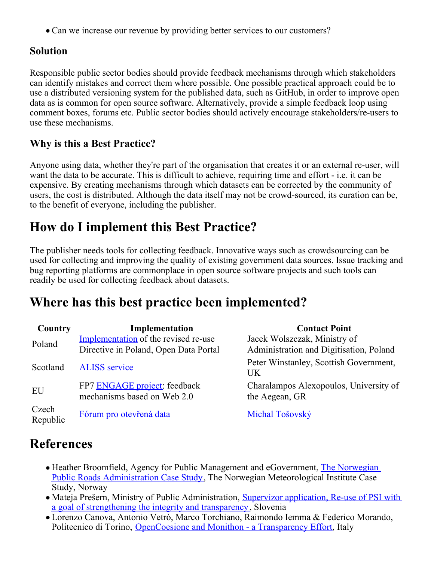• Can we increase our revenue by providing better services to our customers?

#### **Solution**

Responsible public sector bodies should provide feedback mechanisms through which stakeholders can identify mistakes and correct them where possible. One possible practical approach could be to use a distributed versioning system for the published data, such as GitHub, in order to improve open data as is common for open source software. Alternatively, provide a simple feedback loop using comment boxes, forums etc. Public sector bodies should actively encourage stakeholders/re-users to use these mechanisms.

#### **Why is this a Best Practice?**

Anyone using data, whether they're part of the organisation that creates it or an external re-user, will want the data to be accurate. This is difficult to achieve, requiring time and effort - i.e. it can be expensive. By creating mechanisms through which datasets can be corrected by the community of users, the cost is distributed. Although the data itself may not be crowd-sourced, its curation can be, to the benefit of everyone, including the publisher.

### **How do I implement this Best Practice?**

The publisher needs tools for collecting feedback. Innovative ways such as crowdsourcing can be used for collecting and improving the quality of existing government data sources. Issue tracking and bug reporting platforms are commonplace in open source software projects and such tools can readily be used for collecting feedback about datasets.

### **Where has this best practice been implemented?**

| Country           | Implementation                                              | <b>Contact Point</b>                                     |
|-------------------|-------------------------------------------------------------|----------------------------------------------------------|
| Poland            | Implementation of the revised re-use                        | Jacek Wolszczak, Ministry of                             |
|                   | Directive in Poland, Open Data Portal                       | Administration and Digitisation, Poland                  |
| Scotland          | <b>ALISS</b> service                                        | Peter Winstanley, Scottish Government,<br>UK             |
| EU                | FP7 ENGAGE project: feedback<br>mechanisms based on Web 2.0 | Charalampos Alexopoulos, University of<br>the Aegean, GR |
| Czech<br>Republic | Fórum pro otevřená data                                     | Michal Tošovský                                          |

### **References**

- Heather Broomfield, Agency for Public Management and eGovernment, [The Norwegian](https://www.w3.org/2013/share-psi/wiki/images/d/d2/NorwegianPublicSectorSharePSISamos.pdf) [Public Roads Administration Case Study](https://www.w3.org/2013/share-psi/wiki/images/d/d2/NorwegianPublicSectorSharePSISamos.pdf), The Norwegian Meteorological Institute Case Study, Norway
- Mateja Prešern, Ministry of Public Administration, [Supervizor application, Re-use of PSI with](https://www.w3.org/2013/share-psi/workshop/samos/supervizor) [a goal of strengthening the integrity and transparency](https://www.w3.org/2013/share-psi/workshop/samos/supervizor), Slovenia
- Lorenzo Canova, Antonio Vetrò, Marco Torchiano, Raimondo Iemma & Federico Morando, Politecnico di Torino, [OpenCoesione and Monithon - a Transparency Effort](https://www.w3.org/2013/share-psi/wiki/images/4/4a/OpenCoesioneAndMonithon-Samos-Final.pdf)[, Italy](https://www.w3.org/share-psi/workshop/Timisoara/kotmel)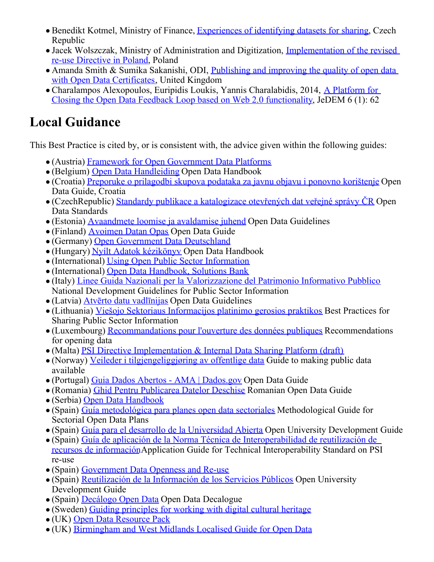- Benedikt Kotmel, Ministry of Finance, [Experiences of identifying datasets for sharing](https://www.w3.org/share-psi/workshop/Timisoara/kotmel), Czech Republic
- Jacek Wolszczak, Ministry of Administration and Digitization, [Implementation of the revised](https://www.w3.org/2013/share-psi/workshop/Timisoara/Jacek) [re-use Directive in Poland](https://www.w3.org/2013/share-psi/workshop/Timisoara/Jacek), Poland
- Amanda Smith & Sumika Sakanishi, ODI, [Publishing and improving the quality of open data](https://www.w3.org/2013/share-psi/wiki/Krems/Scribe#Publishing_and_improving_the_quality_of_open_data_with_Open_Data_Certificates.3B_Amanda_Smith_.26_Sumika_Sakanishi.3B_ODI) [with Open Data Certificates](https://www.w3.org/2013/share-psi/wiki/Krems/Scribe#Publishing_and_improving_the_quality_of_open_data_with_Open_Data_Certificates.3B_Amanda_Smith_.26_Sumika_Sakanishi.3B_ODI), United Kingdom
- Charalampos Alexopoulos, Euripidis Loukis, Yannis Charalabidis, 2014, [A Platform for](http://jedem.org/index.php/jedem/article/view/327) [Closing the Open Data Feedback Loop based on Web 2.0 functionality](http://jedem.org/index.php/jedem/article/view/327), JeDEM 6 (1): 62

# **Local Guidance**

This Best Practice is cited by, or is consistent with, the advice given within the following guides:

- (Austria) [Framework for Open Government Data Platforms](https://www.w3.org/2013/share-psi/lg/Austria#atGuide)
- (Belgium) [Open Data Handleiding](https://www.w3.org/2013/share-psi/lg/Belgium#vlGuide) Open Data Handbook
- (Croatia) [Preporuke o prilagodbi skupova podataka za javnu objavu i ponovno korištenje](https://www.w3.org/2013/share-psi/lg/Croatia#hrGuide) Open Data Guide, Croatia
- (CzechRepublic) [Standardy publikace a katalogizace otevřených dat veřejné správy ČR](https://www.w3.org/2013/share-psi/lg/CzechRepublic#czOpenDataStandards) Open Data Standards
- (Estonia) [Avaandmete loomise ja avaldamise juhend](https://www.w3.org/2013/share-psi/lg/Estonia#eeGuide) Open Data Guidelines
- (Finland) [Avoimen Datan Opas](https://www.w3.org/2013/share-psi/lg/Finland#fiOpenData) Open Data Guide
- (Germany) [Open Government Data Deutschland](https://www.w3.org/2013/share-psi/lg/Germany#deGuide)
- (Hungary) [Nyílt Adatok kézikönyv](https://www.w3.org/2013/share-psi/lg/Hungary#huGuide) Open Data Handbook
- (International) [Using Open Public Sector Information](https://www.w3.org/2013/share-psi/lg/International#togGuide)
- (International) [Open Data Handbook, Solutions Bank](https://www.w3.org/2013/share-psi/lg/International#okhbsb)
- (Italy) [Linee Guida Nazionali per la Valorizzazione del Patrimonio Informativo Pubblico](https://www.w3.org/2013/share-psi/lg/Italy#itGuide) National Development Guidelines for Public Sector Information
- (Latvia) [Atvērto datu vadlīnijas](https://www.w3.org/2013/share-psi/lg/Latvia#lvGuide) Open Data Guidelines
- (Lithuania) [Viešojo Sektoriaus Informacijos platinimo gerosios praktikos](https://www.w3.org/2013/share-psi/lg/Lithuania#ltGuide) Best Practices for Sharing Public Sector Information
- (Luxembourg) [Recommandations pour l'ouverture des données publiques](https://www.w3.org/2013/share-psi/lg/Luxembourg#luGuide) Recommendations for opening data
- (Malta) [PSI Directive Implementation & Internal Data Sharing Platform \(draft\)](https://www.w3.org/2013/share-psi/lg/Malta#mtGuide)
- (Norway) [Veileder i tilgjengeliggjøring av offentlige data](https://www.w3.org/2013/share-psi/lg/Norway#noOpenData) Guide to making public data available
- (Portugal) [Guia Dados Abertos AMA | Dados.gov](https://www.w3.org/2013/share-psi/lg/Portugal#ptGuide) Open Data Guide
- (Romania) [Ghid Pentru Publicarea Datelor Deschise](https://www.w3.org/2013/share-psi/lg/Romania#roGuide) Romanian Open Data Guide
- (Serbia) [Open Data Handbook](https://www.w3.org/2013/share-psi/lg/Serbia#rsGuide)
- (Spain) [Guía metodológica para planes open data sectoriales](https://www.w3.org/2013/share-psi/lg/Spain#mgsodp) Methodological Guide for Sectorial Open Data Plans
- (Spain) [Guía para el desarrollo de la Universidad Abierta](https://www.w3.org/2013/share-psi/lg/Spain#esou) Open University Development Guide
- (Spain) [Guía de aplicación de la Norma Técnica de Interoperabilidad de reutilización de](https://www.w3.org/2013/share-psi/lg/Spain#esnt) [recursos de información](https://www.w3.org/2013/share-psi/lg/Spain#esnt)Application Guide for Technical Interoperability Standard on PSI re-use
- (Spain) [Government Data Openness and Re-use](https://www.w3.org/2013/share-psi/lg/Spain#caGuide)
- (Spain) [Reutilización de la Información de los Servicios Públicos](https://www.w3.org/2013/share-psi/lg/Spain#esab) Open University Development Guide
- (Spain) [Decálogo Open Data](https://www.w3.org/2013/share-psi/lg/Spain#odd) Open Data Decalogue
- (Sweden) [Guiding principles for working with digital cultural heritage](https://www.w3.org/2013/share-psi/lg/Sweden#seGLAM)
- (UK) [Open Data Resource Pack](https://www.w3.org/2013/share-psi/lg/UK#scotGuide)
- (UK) [Birmingham and West Midlands Localised Guide for Open Data](https://www.w3.org/2013/share-psi/lg/UK#wmGuide)